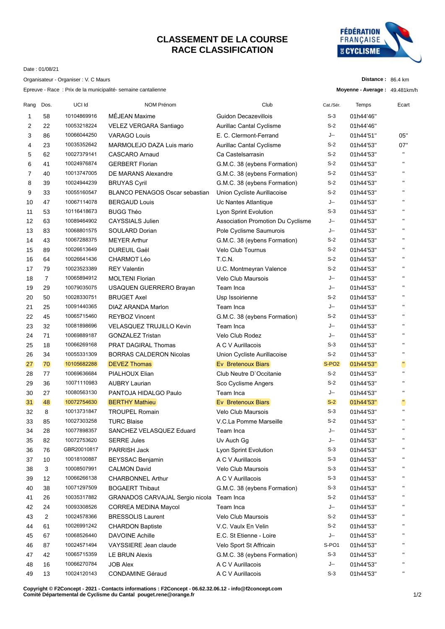## **CLASSEMENT DE LA COURSE RACE CLASSIFICATION**



Date : 01/08/21

Organisateur - Organiser : V. C Maurs

Epreuve - Race : Prix de la municipalité- semaine cantalienne

| Distance: 86.4 km |  |  |
|-------------------|--|--|
|-------------------|--|--|

| Moyenne - Average: 49.481km/h |  |
|-------------------------------|--|
|-------------------------------|--|

| Rang | Dos.           | UCI Id      | NOM Prénom                            | Club                              | Cat./Sér.         | Temps     | Ecart              |
|------|----------------|-------------|---------------------------------------|-----------------------------------|-------------------|-----------|--------------------|
| 1    | 58             | 10104869916 | MÉJEAN Maxime                         | <b>Guidon Decazevillois</b>       | $S-3$             | 01h44'46" |                    |
| 2    | 22             | 10053218224 | VELEZ VERGARA Santiago                | Aurillac Cantal Cyclisme          | $S-2$             | 01h44'46" |                    |
| 3    | 86             | 10066044250 | <b>VARAGO Louis</b>                   | E. C. Clermont-Ferrand            | J--               | 01h44'51" | 05"                |
| 4    | 23             | 10035352642 | MARMOLEJO DAZA Luis mario             | Aurillac Cantal Cyclisme          | $S-2$             | 01h44'53" | 07"                |
| 5    | 62             | 10027379141 | <b>CASCARO Arnaud</b>                 | Ca Castelsarrasin                 | $S-2$             | 01h44'53" | $\blacksquare$     |
| 6    | 41             | 10024976874 | <b>GERBERT Florian</b>                | G.M.C. 38 (eybens Formation)      | $S-2$             | 01h44'53" | $\mathbf{H}$       |
| 7    | 40             | 10013747005 | DE MARANS Alexandre                   | G.M.C. 38 (eybens Formation)      | $S-2$             | 01h44'53" | $\blacksquare$     |
| 8    | 39             | 10024944239 | <b>BRUYAS Cyril</b>                   | G.M.C. 38 (eybens Formation)      | $S-2$             | 01h44'53" | $\mathbf{H}$       |
| 9    | 33             | 10055160547 | <b>BLANCO PENAGOS Oscar sebastian</b> | Union Cycliste Aurillacoise       | $S-2$             | 01h44'53" | $\mathbf{H}$       |
| 10   | 47             | 10067114078 | <b>BERGAUD Louis</b>                  | Uc Nantes Atlantique              | J--               | 01h44'53" | $\mathbf{H}$       |
| 11   | 53             | 10116418673 | <b>BUGG Théo</b>                      | Lyon Sprint Evolution             | $S-3$             | 01h44'53" | $\blacksquare$     |
| 12   | 63             | 10089464902 | <b>CAYSSIALS Julien</b>               | Association Promotion Du Cyclisme | J--               | 01h44'53" | $\blacksquare$     |
| 13   | 83             | 10068801575 | SOULARD Dorian                        | Pole Cyclisme Saumurois           | J--               | 01h44'53" | $\pmb{\mathsf{H}}$ |
| 14   | 43             | 10067288375 | <b>MEYER Arthur</b>                   | G.M.C. 38 (eybens Formation)      | $S-2$             | 01h44'53" | $\mathbf{H}$       |
| 15   | 89             | 10026613649 | <b>DUREUIL Gaël</b>                   | <b>Velo Club Tournus</b>          | $S-2$             | 01h44'53" | $\blacksquare$     |
| 16   | 64             | 10026641436 | <b>CHARMOT Léo</b>                    | T.C.N.                            | $S-2$             | 01h44'53" | $\mathbf{H}$       |
| 17   | 79             | 10023523389 | <b>REY Valentin</b>                   | U.C. Montmeyran Valence           | $S-2$             | 01h44'53" | $\blacksquare$     |
| 18   | 7              | 10065894912 | <b>MOLTENI Florian</b>                | <b>Velo Club Maursois</b>         | J--               | 01h44'53" | $\mathbf{H}$       |
| 19   | 29             | 10079035075 | USAQUEN GUERRERO Brayan               | Team Inca                         | J--               | 01h44'53" | $\blacksquare$     |
| 20   | 50             | 10028330751 | <b>BRUGET Axel</b>                    | Usp Issoirienne                   | $S-2$             | 01h44'53" | $\mathbf{H}$       |
| 21   | 25             | 10091440365 | DIAZ ARANDA Marlon                    | Team Inca                         | J--               | 01h44'53" | $\mathbf{H}$       |
| 22   | 45             | 10065715460 | <b>REYBOZ Vincent</b>                 | G.M.C. 38 (eybens Formation)      | $S-2$             | 01h44'53" | $\mathbf{H}$       |
| 23   | 32             | 10081898696 | <b>VELASQUEZ TRUJILLO Kevin</b>       | Team Inca                         | J--               | 01h44'53" | $\blacksquare$     |
| 24   | 71             | 10069889187 | <b>GONZALEZ Tristan</b>               | Velo Club Rodez                   | J--               | 01h44'53" | $\mathbf{H}$       |
| 25   | 18             | 10066269168 | <b>PRAT DAGIRAL Thomas</b>            | A C V Aurillacois                 | $S-3$             | 01h44'53" | $\blacksquare$     |
| 26   | 34             | 10055331309 | <b>BORRAS CALDERON Nicolas</b>        | Union Cycliste Aurillacoise       | $S-2$             | 01h44'53" | $\pmb{\mathsf{H}}$ |
| 27   | 70             | 10105682288 | <b>DEVEZ Thomas</b>                   | Ev Bretenoux Biars                | S-PO <sub>2</sub> | 01h44'53" | H)                 |
| 28   | 77             | 10069636684 | PIALHOUX Elian                        | Club Neutre D'Occitanie           | $S-2$             | 01h44'53" | $\mathbf{H}$       |
| 29   | 36             | 10071110983 | <b>AUBRY Laurian</b>                  | Sco Cyclisme Angers               | $S-2$             | 01h44'53" | $\pmb{\mathsf{H}}$ |
| 30   | 27             | 10080563130 | PANTOJA HIDALGO Paulo                 | Team Inca                         | J--               | 01h44'53" | $\mathbf{H}$       |
| 31   | 48             | 10072754630 | <b>BERTHY Mathieu</b>                 | Ev Bretenoux Biars                | $S-2$             | 01h44'53" | Ð                  |
| 32   | 8              | 10013731847 | <b>TROUPEL Romain</b>                 | Velo Club Maursois                | $S-3$             | 01h44'53" | $\mathbf{H}$       |
| 33   | 85             | 10027303258 | <b>TURC Blaise</b>                    | V.C.La Pomme Marseille            | $S-2$             | 01h44'53" | $\mathbf{H}$       |
| 34   | 28             | 10077898357 | SANCHEZ VELASQUEZ Eduard              | Team Inca                         | J--               | 01h44'53" | $\mathbf{H}$       |
| 35   | 82             | 10072753620 | <b>SERRE Jules</b>                    | Uv Auch Gg                        | J--               | 01h44'53" | п                  |
| 36   | 76             | GBR20010817 | PARRISH Jack                          | Lyon Sprint Evolution             | $S-3$             | 01h44'53" |                    |
| 37   | 10             | 10018100887 | <b>BEYSSAC Benjamin</b>               | A C V Aurillacois                 | $S-3$             | 01h44'53" | п                  |
| 38   | 3              | 10008507991 | <b>CALMON David</b>                   | Velo Club Maursois                | $S-3$             | 01h44'53" | п                  |
| 39   | 12             | 10066266138 | <b>CHARBONNEL Arthur</b>              | A C V Aurillacois                 | $S-3$             | 01h44'53" | п                  |
| 40   | 38             | 10071297509 | <b>BOGAERT Thibaut</b>                | G.M.C. 38 (eybens Formation)      | $S-3$             | 01h44'53" |                    |
| 41   | 26             | 10035317882 | GRANADOS CARVAJAL Sergio nicola       | Team Inca                         | S-2               | 01h44'53" | п                  |
| 42   | 24             | 10093308526 | <b>CORREA MEDINA Maycol</b>           | Team Inca                         | J--               | 01h44'53" |                    |
| 43   | $\overline{2}$ | 10024578366 | <b>BRESSOLIS Laurent</b>              | Velo Club Maursois                | $S-2$             | 01h44'53" | п                  |
| 44   | 61             | 10026991242 | <b>CHARDON Baptiste</b>               | V.C. Vaulx En Velin               | $S-2$             | 01h44'53" |                    |
| 45   | 67             | 10068526440 | <b>DAVOINE Achille</b>                | E.C. St Etienne - Loire           | J--               | 01h44'53" | п                  |
| 46   | 87             | 10024571494 | VAYSSIERE Jean claude                 | Velo Sport St Affricain           | S-PO1             | 01h44'53" |                    |
| 47   | 42             | 10065715359 | <b>LE BRUN Alexis</b>                 | G.M.C. 38 (eybens Formation)      | $S-3$             | 01h44'53" | п                  |
| 48   | 16             | 10066270784 | <b>JOB Alex</b>                       | A C V Aurillacois                 | J--               | 01h44'53" |                    |
| 49   | 13             | 10024120143 | <b>CONDAMINE Géraud</b>               | A C V Aurillacois                 | $S-3$             | 01h44'53" | п                  |

**Copyright © F2Concept - 2021 - Contacts informations : F2Concept - 06.62.32.06.12 - info@f2concept.com Comité Départemental de Cyclisme du Cantal pouget.rene@orange.fr**